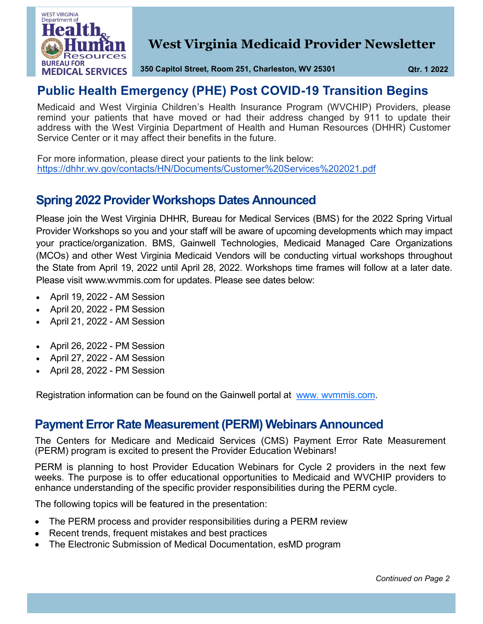

# **West Virginia Medicaid Provider Newsletter**

**350 Capitol Street, Room 251, Charleston, WV 25301 Qtr. 1 2022**

# **Public Health Emergency (PHE) Post COVID-19 Transition Begins**

Medicaid and West Virginia Children's Health Insurance Program (WVCHIP) Providers, please remind your patients that have moved or had their address changed by 911 to update their address with the West Virginia Department of Health and Human Resources (DHHR) Customer Service Center or it may affect their benefits in the future.

For more information, please direct your patients to the link below: <https://dhhr.wv.gov/contacts/HN/Documents/Customer%20Services%202021.pdf>

### **Spring 2022 Provider Workshops Dates Announced**

Please join the West Virginia DHHR, Bureau for Medical Services (BMS) for the 2022 Spring Virtual Provider Workshops so you and your staff will be aware of upcoming developments which may impact your practice/organization. BMS, Gainwell Technologies, Medicaid Managed Care Organizations (MCOs) and other West Virginia Medicaid Vendors will be conducting virtual workshops throughout the State from April 19, 2022 until April 28, 2022. Workshops time frames will follow at a later date. Please visit www.wvmmis.com for updates. Please see dates below:

- April 19, 2022 AM Session
- April 20, 2022 PM Session
- April 21, 2022 AM Session
- April 26, 2022 PM Session
- April 27, 2022 AM Session
- April 28, 2022 PM Session

Registration information can be found on the Gainwell portal at [www. wvmmis.com.](https://www.wvmmis.com/default.aspx) 

### **Payment Error Rate Measurement (PERM) Webinars Announced**

The Centers for Medicare and Medicaid Services (CMS) Payment Error Rate Measurement (PERM) program is excited to present the Provider Education Webinars!

PERM is planning to host Provider Education Webinars for Cycle 2 providers in the next few weeks. The purpose is to offer educational opportunities to Medicaid and WVCHIP providers to enhance understanding of the specific provider responsibilities during the PERM cycle.

The following topics will be featured in the presentation:

- The PERM process and provider responsibilities during a PERM review
- Recent trends, frequent mistakes and best practices
- The Electronic Submission of Medical Documentation, esMD program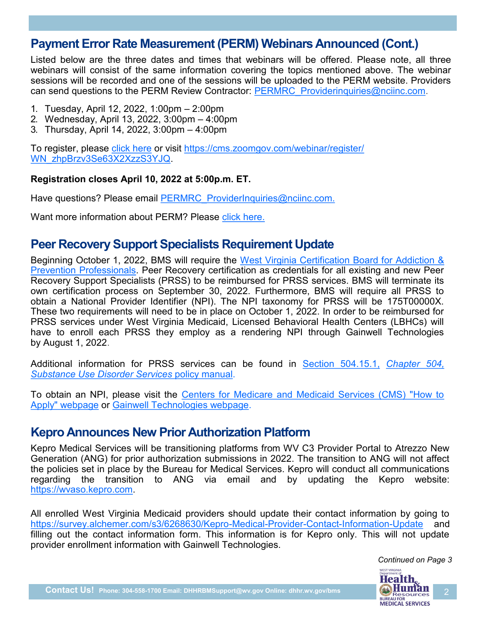### **Payment Error Rate Measurement (PERM) Webinars Announced (Cont.)**

Listed below are the three dates and times that webinars will be offered. Please note, all three webinars will consist of the same information covering the topics mentioned above. The webinar sessions will be recorded and one of the sessions will be uploaded to the PERM website. Providers can send questions to the PERM Review Contractor: [PERMRC\\_Providerinquiries@nciinc.com.](mailto:%20PERMRC_Providerinquiries@nciinc.com)

- 1. Tuesday, April 12, 2022, 1:00pm 2:00pm
- 2. Wednesday, April 13, 2022, 3:00pm 4:00pm
- 3. Thursday, April 14, 2022, 3:00pm 4:00pm

To register, please click [here](https://cms.zoomgov.com/webinar/register/WN_zhpBrzv3Se63X2XzzS3YJQ) or visit [https://cms.zoomgov.com/webinar/register/](https://cms.zoomgov.com/webinar/register/WN_zhpBrzv3Se63X2XzzS3YJQ) [WN\\_zhpBrzv3Se63X2XzzS3YJQ.](https://cms.zoomgov.com/webinar/register/WN_zhpBrzv3Se63X2XzzS3YJQ)

#### **Registration closes April 10, 2022 at 5:00p.m. ET.**

Have questions? Please email [PERMRC\\_ProviderInquiries@nciinc.com.](mailto:%20PERMRC_ProviderInquiries@nciinc.com.)

Want more information about PERM? Please [click here.](https://www.cms.gov/Research-Statistics-Data-and-Systems/Monitoring-Programs/Improper-Payment-Measurement-Programs/PERM)

#### **Peer Recovery Support Specialists Requirement Update**

Beginning October 1, 2022, BMS will require the West Virginia Certification Board for Addiction & [Prevention Professionals.](https://www.wvcbapp.org/) Peer Recovery certification as credentials for all existing and new Peer Recovery Support Specialists (PRSS) to be reimbursed for PRSS services. BMS will terminate its own certification process on September 30, 2022. Furthermore, BMS will require all PRSS to obtain a National Provider Identifier (NPI). The NPI taxonomy for PRSS will be 175T00000X. These two requirements will need to be in place on October 1, 2022. In order to be reimbursed for PRSS services under West Virginia Medicaid, Licensed Behavioral Health Centers (LBHCs) will have to enroll each PRSS they employ as a rendering NPI through Gainwell Technologies by August 1, 2022.

Additional information for PRSS services can be found in [Section 504.15.1,](https://dhhr.wv.gov/bms/Pages/Manuals.aspx) *Chapter 504, [Substance Use Disorder Services](https://dhhr.wv.gov/bms/Pages/Manuals.aspx)* policy manual.

To obtain an NPI, please visit the [Centers for Medicare and Medicaid Services \(CMS\) "How to](https://www.cms.gov/Regulations-and-Guidance/Administrative-Simplification/NationalProvIdentStand/apply)  [Apply" webpage](https://www.cms.gov/Regulations-and-Guidance/Administrative-Simplification/NationalProvIdentStand/apply) or [Gainwell Technologies webpage.](https://dhhr.wv.gov/bms/Provider/DXC/Pages/default.aspx)

#### **Kepro Announces New Prior Authorization Platform**

Kepro Medical Services will be transitioning platforms from WV C3 Provider Portal to Atrezzo New Generation (ANG) for prior authorization submissions in 2022. The transition to ANG will not affect the policies set in place by the Bureau for Medical Services. Kepro will conduct all communications regarding the transition to ANG via email and by updating the Kepro website: [https://wvaso.kepro.com.](https://wvaso.kepro.com) 

All enrolled West Virginia Medicaid providers should update their contact information by going to [https://survey.alchemer.com/s3/6268630/Kepro](https://survey.alchemer.com/s3/6268630/Kepro-Medical-Provider-Contact-Information-Update)-Medical-Provider-Contact-Information-Update and filling out the contact information form. This information is for Kepro only. This will not update provider enrollment information with Gainwell Technologies.

> *Continued on Page 3*WEST VIRGINIA **Health.**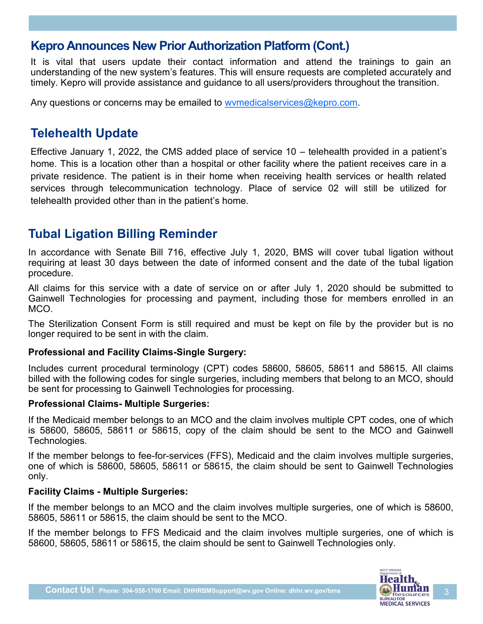### **Kepro Announces New Prior Authorization Platform (Cont.)**

It is vital that users update their contact information and attend the trainings to gain an understanding of the new system's features. This will ensure requests are completed accurately and timely. Kepro will provide assistance and guidance to all users/providers throughout the transition.

Any questions or concerns may be emailed to wymedicalservices@kepro.com.

# **Telehealth Update**

Effective January 1, 2022, the CMS added place of service 10 – telehealth provided in a patient's home. This is a location other than a hospital or other facility where the patient receives care in a private residence. The patient is in their home when receiving health services or health related services through telecommunication technology. Place of service 02 will still be utilized for telehealth provided other than in the patient's home.

# **Tubal Ligation Billing Reminder**

In accordance with Senate Bill 716, effective July 1, 2020, BMS will cover tubal ligation without requiring at least 30 days between the date of informed consent and the date of the tubal ligation procedure.

All claims for this service with a date of service on or after July 1, 2020 should be submitted to Gainwell Technologies for processing and payment, including those for members enrolled in an MCO.

The Sterilization Consent Form is still required and must be kept on file by the provider but is no longer required to be sent in with the claim.

#### **Professional and Facility Claims-Single Surgery:**

Includes current procedural terminology (CPT) codes 58600, 58605, 58611 and 58615. All claims billed with the following codes for single surgeries, including members that belong to an MCO, should be sent for processing to Gainwell Technologies for processing.

#### **Professional Claims- Multiple Surgeries:**

If the Medicaid member belongs to an MCO and the claim involves multiple CPT codes, one of which is 58600, 58605, 58611 or 58615, copy of the claim should be sent to the MCO and Gainwell Technologies.

If the member belongs to fee-for-services (FFS), Medicaid and the claim involves multiple surgeries, one of which is 58600, 58605, 58611 or 58615, the claim should be sent to Gainwell Technologies only.

#### **Facility Claims - Multiple Surgeries:**

If the member belongs to an MCO and the claim involves multiple surgeries, one of which is 58600, 58605, 58611 or 58615, the claim should be sent to the MCO.

If the member belongs to FFS Medicaid and the claim involves multiple surgeries, one of which is 58600, 58605, 58611 or 58615, the claim should be sent to Gainwell Technologies only.

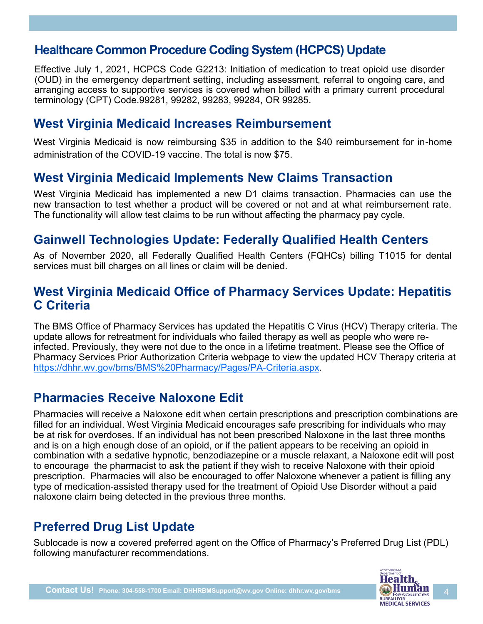# **Healthcare Common Procedure Coding System (HCPCS) Update**

Effective July 1, 2021, HCPCS Code G2213: Initiation of medication to treat opioid use disorder (OUD) in the emergency department setting, including assessment, referral to ongoing care, and arranging access to supportive services is covered when billed with a primary current procedural terminology (CPT) Code.99281, 99282, 99283, 99284, OR 99285.

#### **West Virginia Medicaid Increases Reimbursement**

West Virginia Medicaid is now reimbursing \$35 in addition to the \$40 reimbursement for in-home administration of the COVID-19 vaccine. The total is now \$75.

#### **West Virginia Medicaid Implements New Claims Transaction**

West Virginia Medicaid has implemented a new D1 claims transaction. Pharmacies can use the new transaction to test whether a product will be covered or not and at what reimbursement rate. The functionality will allow test claims to be run without affecting the pharmacy pay cycle.

### **Gainwell Technologies Update: Federally Qualified Health Centers**

As of November 2020, all Federally Qualified Health Centers (FQHCs) billing T1015 for dental services must bill charges on all lines or claim will be denied.

### **West Virginia Medicaid Office of Pharmacy Services Update: Hepatitis C Criteria**

The BMS Office of Pharmacy Services has updated the Hepatitis C Virus (HCV) Therapy criteria. The update allows for retreatment for individuals who failed therapy as well as people who were reinfected. Previously, they were not due to the once in a lifetime treatment. Please see the Office of Pharmacy Services Prior Authorization Criteria webpage to view the updated HCV Therapy criteria at [https://dhhr.wv.gov/bms/BMS%20Pharmacy/Pages/PA](https://dhhr.wv.gov/bms/BMS%20Pharmacy/Pages/PA-Criteria.aspx)-Criteria.aspx.

### **Pharmacies Receive Naloxone Edit**

Pharmacies will receive a Naloxone edit when certain prescriptions and prescription combinations are filled for an individual. West Virginia Medicaid encourages safe prescribing for individuals who may be at risk for overdoses. If an individual has not been prescribed Naloxone in the last three months and is on a high enough dose of an opioid, or if the patient appears to be receiving an opioid in combination with a sedative hypnotic, benzodiazepine or a muscle relaxant, a Naloxone edit will post to encourage the pharmacist to ask the patient if they wish to receive Naloxone with their opioid prescription. Pharmacies will also be encouraged to offer Naloxone whenever a patient is filling any type of medication-assisted therapy used for the treatment of Opioid Use Disorder without a paid naloxone claim being detected in the previous three months.

### **Preferred Drug List Update**

Sublocade is now a covered preferred agent on the Office of Pharmacy's Preferred Drug List (PDL) following manufacturer recommendations.

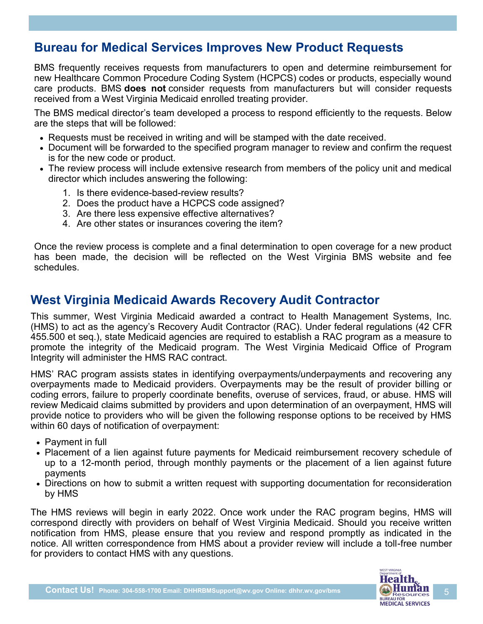# **Bureau for Medical Services Improves New Product Requests**

BMS frequently receives requests from manufacturers to open and determine reimbursement for new Healthcare Common Procedure Coding System (HCPCS) codes or products, especially wound care products. BMS **does not** consider requests from manufacturers but will consider requests received from a West Virginia Medicaid enrolled treating provider.

The BMS medical director's team developed a process to respond efficiently to the requests. Below are the steps that will be followed:

- Requests must be received in writing and will be stamped with the date received.
- Document will be forwarded to the specified program manager to review and confirm the request is for the new code or product.
- The review process will include extensive research from members of the policy unit and medical director which includes answering the following:
	- 1. Is there evidence-based-review results?
	- 2. Does the product have a HCPCS code assigned?
	- 3. Are there less expensive effective alternatives?
	- 4. Are other states or insurances covering the item?

Once the review process is complete and a final determination to open coverage for a new product has been made, the decision will be reflected on the West Virginia BMS website and fee schedules.

#### **West Virginia Medicaid Awards Recovery Audit Contractor**

This summer, West Virginia Medicaid awarded a contract to Health Management Systems, Inc. (HMS) to act as the agency's Recovery Audit Contractor (RAC). Under federal regulations (42 CFR 455.500 et seq.), state Medicaid agencies are required to establish a RAC program as a measure to promote the integrity of the Medicaid program. The West Virginia Medicaid Office of Program Integrity will administer the HMS RAC contract.

HMS' RAC program assists states in identifying overpayments/underpayments and recovering any overpayments made to Medicaid providers. Overpayments may be the result of provider billing or coding errors, failure to properly coordinate benefits, overuse of services, fraud, or abuse. HMS will review Medicaid claims submitted by providers and upon determination of an overpayment, HMS will provide notice to providers who will be given the following response options to be received by HMS within 60 days of notification of overpayment:

- Payment in full
- Placement of a lien against future payments for Medicaid reimbursement recovery schedule of up to a 12-month period, through monthly payments or the placement of a lien against future payments
- Directions on how to submit a written request with supporting documentation for reconsideration by HMS

The HMS reviews will begin in early 2022. Once work under the RAC program begins, HMS will correspond directly with providers on behalf of West Virginia Medicaid. Should you receive written notification from HMS, please ensure that you review and respond promptly as indicated in the notice. All written correspondence from HMS about a provider review will include a toll-free number for providers to contact HMS with any questions.

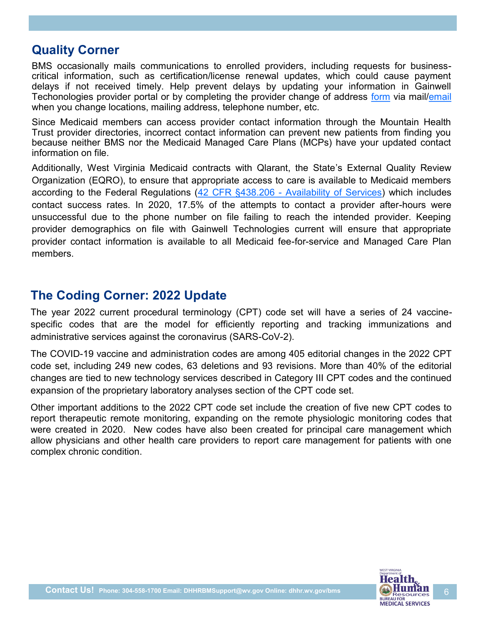#### **Quality Corner**

BMS occasionally mails communications to enrolled providers, including requests for businesscritical information, such as certification/license renewal updates, which could cause payment delays if not received timely. Help prevent delays by updating your information in Gainwell Techonologies provider portal or by completing the provider change of address [form](https://www.wvmmis.com/Forms/Address%20Change%202019.pdf) via mail/[email](mailto:wvproviderenrollment@gainwelltechnologies.com?subject=Provider%20Update) when you change locations, mailing address, telephone number, etc.

Since Medicaid members can access provider contact information through the Mountain Health Trust provider directories, incorrect contact information can prevent new patients from finding you because neither BMS nor the Medicaid Managed Care Plans (MCPs) have your updated contact information on file.

Additionally, West Virginia Medicaid contracts with Qlarant, the State's External Quality Review Organization (EQRO), to ensure that appropriate access to care is available to Medicaid members according to the Federal Regulations (42 CFR §438.206 - [Availability of Services\)](https://www.govinfo.gov/content/pkg/CFR-2020-title42-vol4/pdf/CFR-2020-title42-vol4-sec438-206.pdf) which includes contact success rates. In 2020, 17.5% of the attempts to contact a provider after-hours were unsuccessful due to the phone number on file failing to reach the intended provider. Keeping provider demographics on file with Gainwell Technologies current will ensure that appropriate provider contact information is available to all Medicaid fee-for-service and Managed Care Plan members.

### **The Coding Corner: 2022 Update**

The year 2022 [current procedural terminology](https://www.ama-assn.org/amaone/cpt-current-procedural-terminology) (CPT) code set will have a series of 24 vaccinespecific codes that are the model for efficiently reporting and tracking immunizations and administrative services against the coronavirus (SARS-CoV-2).

The COVID-19 vaccine and administration codes are among 405 editorial changes in the 2022 CPT code set, including 249 new codes, 63 deletions and 93 revisions. More than 40% of the editorial changes are tied to new technology services described in Category III CPT codes and the continued expansion of the proprietary laboratory analyses section of the CPT code set.

Other important additions to the 2022 CPT code set include the creation of five new CPT codes to report therapeutic remote monitoring, expanding on the remote physiologic monitoring codes that were created in 2020. New codes have also been created for principal care management which allow physicians and other health care providers to report care management for patients with one complex chronic condition.

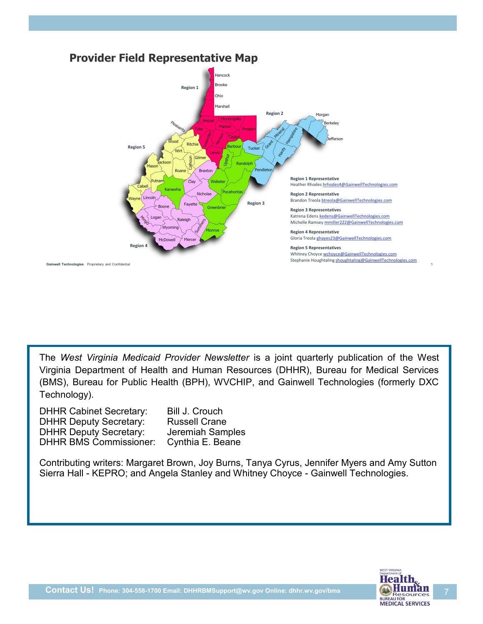

The *West Virginia Medicaid Provider Newsletter* is a joint quarterly publication of the West Virginia Department of Health and Human Resources (DHHR), Bureau for Medical Services (BMS), Bureau for Public Health (BPH), WVCHIP, and Gainwell Technologies (formerly DXC Technology).

DHHR Cabinet Secretary: Bill J. Crouch DHHR Deputy Secretary: Russell Crane DHHR Deputy Secretary: Jeremiah Samples DHHR BMS Commissioner: Cynthia E. Beane

Contributing writers: Margaret Brown, Joy Burns, Tanya Cyrus, Jennifer Myers and Amy Sutton Sierra Hall - KEPRO; and Angela Stanley and Whitney Choyce - Gainwell Technologies.